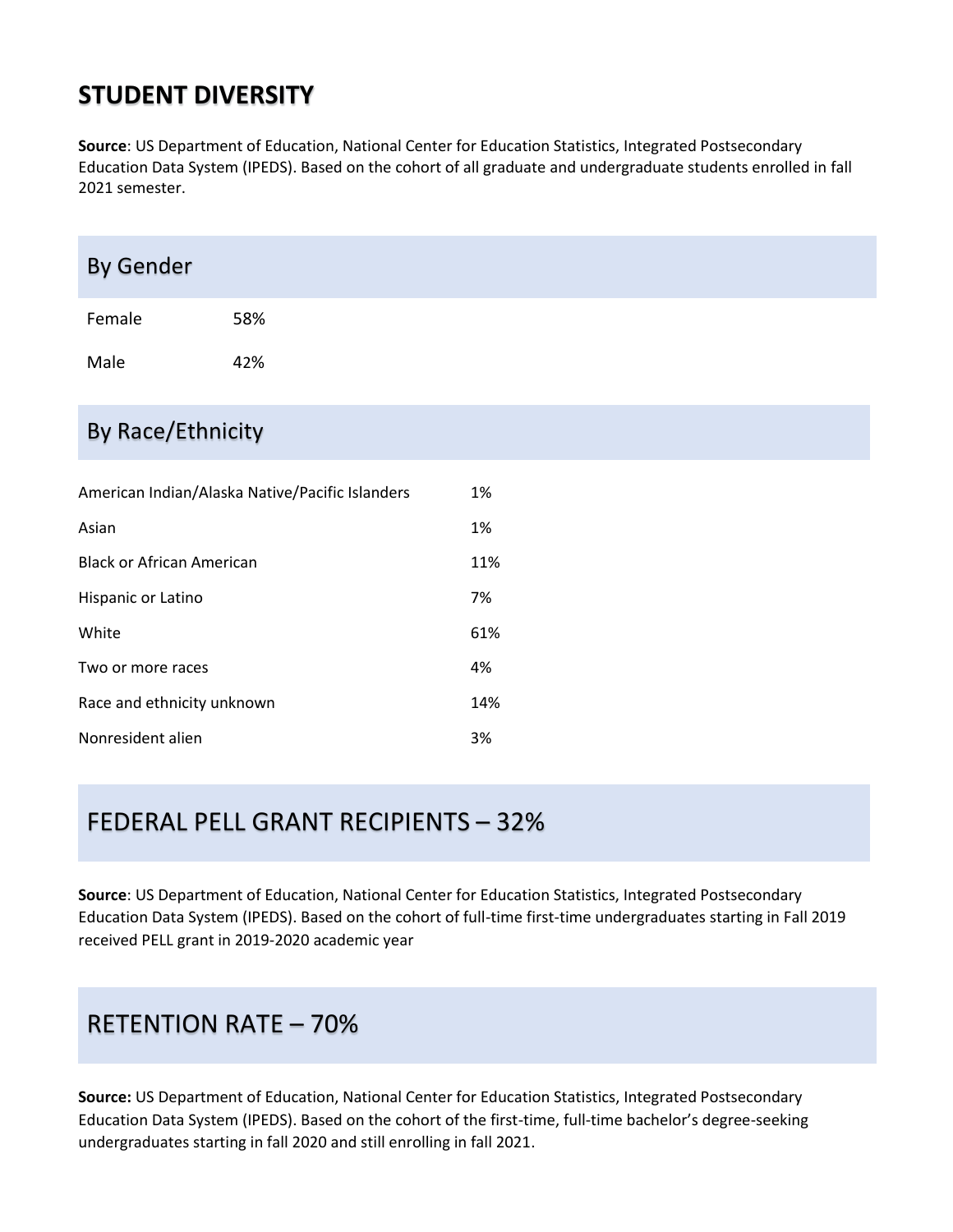## **STUDENT DIVERSITY**

**Source**: US Department of Education, National Center for Education Statistics, Integrated Postsecondary Education Data System (IPEDS). Based on the cohort of all graduate and undergraduate students enrolled in fall 2021 semester.

| <b>By Gender</b>                                |     |    |  |  |  |
|-------------------------------------------------|-----|----|--|--|--|
| Female                                          | 58% |    |  |  |  |
| Male                                            | 42% |    |  |  |  |
| By Race/Ethnicity                               |     |    |  |  |  |
| American Indian/Alaska Native/Pacific Islanders |     | 1% |  |  |  |
| Asian                                           |     | 1% |  |  |  |

### FEDERAL PELL GRANT RECIPIENTS – 32%

Black or African American 11%

Hispanic or Latino 7%

White  $61\%$ 

Two or more races and the state of the state  $4\%$ 

Race and ethnicity unknown 14%

Nonresident alien 3%

**Source**: US Department of Education, National Center for Education Statistics, Integrated Postsecondary Education Data System (IPEDS). Based on the cohort of full-time first-time undergraduates starting in Fall 2019 received PELL grant in 2019-2020 academic year

### RETENTION RATE – 70%

**Source:** US Department of Education, National Center for Education Statistics, Integrated Postsecondary Education Data System (IPEDS). Based on the cohort of the first-time, full-time bachelor's degree-seeking undergraduates starting in fall 2020 and still enrolling in fall 2021.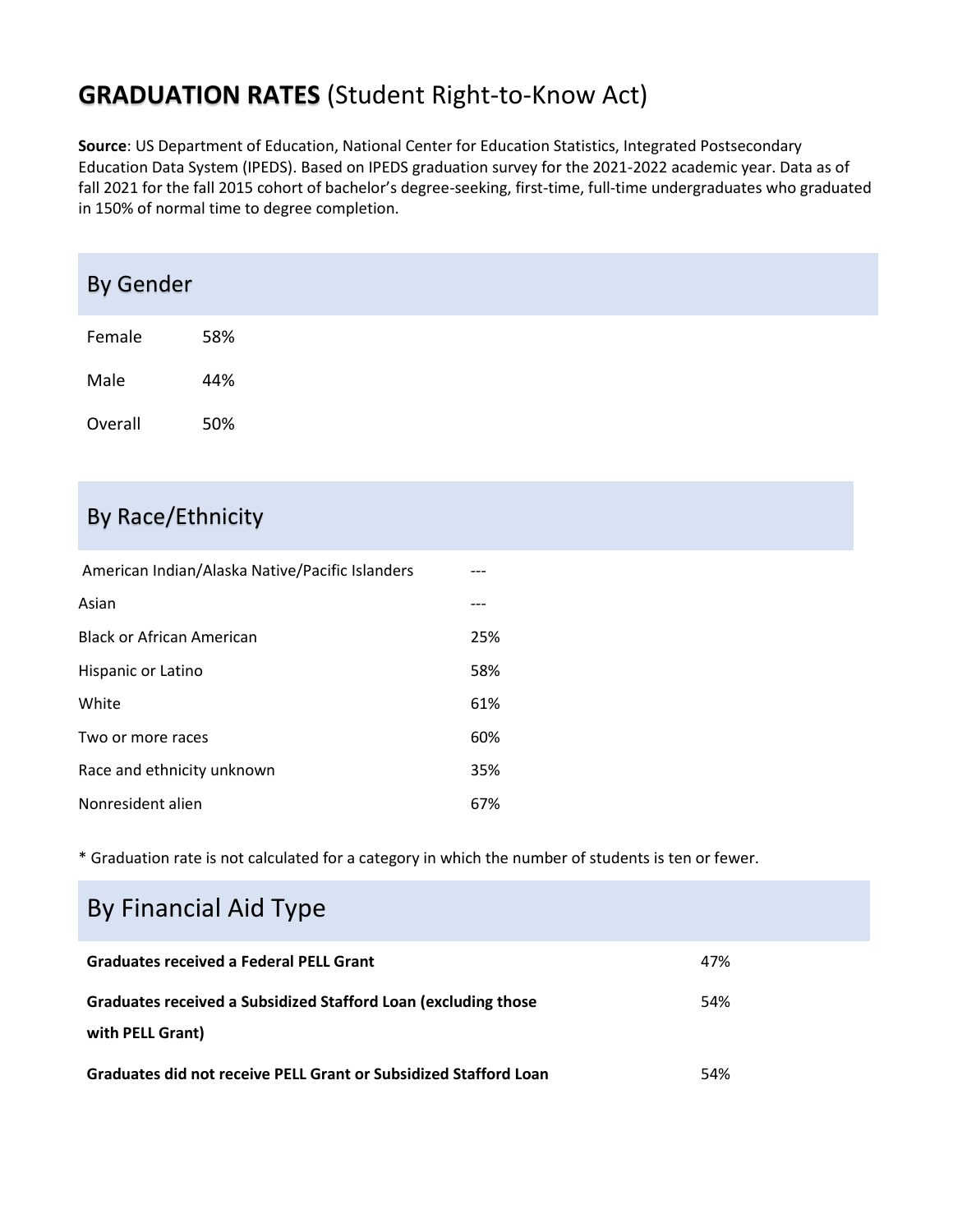# **GRADUATION RATES** (Student Right-to-Know Act)

**Source**: US Department of Education, National Center for Education Statistics, Integrated Postsecondary Education Data System (IPEDS). Based on IPEDS graduation survey for the 2021-2022 academic year. Data as of fall 2021 for the fall 2015 cohort of bachelor's degree-seeking, first-time, full-time undergraduates who graduated in 150% of normal time to degree completion.

| <b>By Gender</b> |     |
|------------------|-----|
| Female           | 58% |
| Male             | 44% |
| Overall          | 50% |

### By Race/Ethnicity

| American Indian/Alaska Native/Pacific Islanders |     |
|-------------------------------------------------|-----|
| Asian                                           |     |
| <b>Black or African American</b>                | 25% |
| Hispanic or Latino                              | 58% |
| White                                           | 61% |
| Two or more races                               | 60% |
| Race and ethnicity unknown                      | 35% |
| Nonresident alien                               | 67% |

\* Graduation rate is not calculated for a category in which the number of students is ten or fewer.

# By Financial Aid Type

| <b>Graduates received a Federal PELL Grant</b>                                     | 47% |
|------------------------------------------------------------------------------------|-----|
| Graduates received a Subsidized Stafford Loan (excluding those<br>with PELL Grant) | 54% |
| Graduates did not receive PELL Grant or Subsidized Stafford Loan                   | 54% |